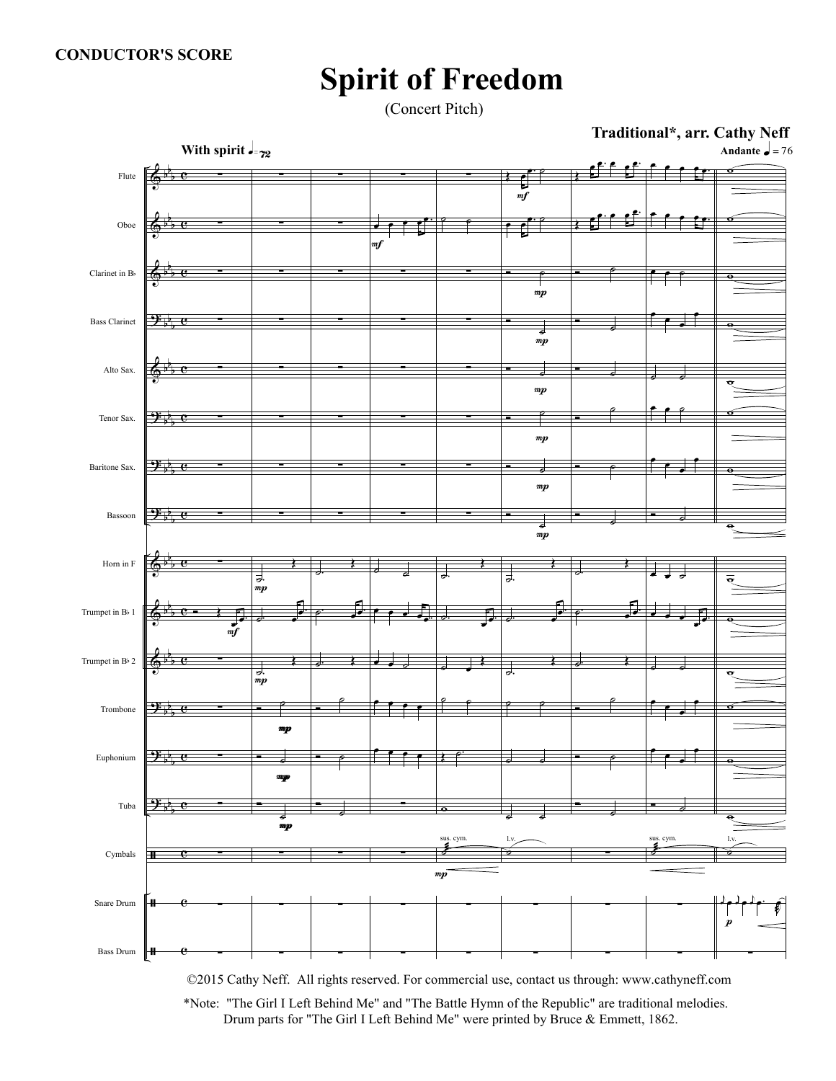**Traditional\*, arr. Cathy Neff**

(Concert Pitch)



©2015 Cathy Neff. All rights reserved. For commercial use, contact us through: www.cathyneff.com

\*Note: "The Girl I Left Behind Me" and "The Battle Hymn of the Republic" are traditional melodies. Drum parts for "The Girl I Left Behind Me" were printed by Bruce & Emmett, 1862.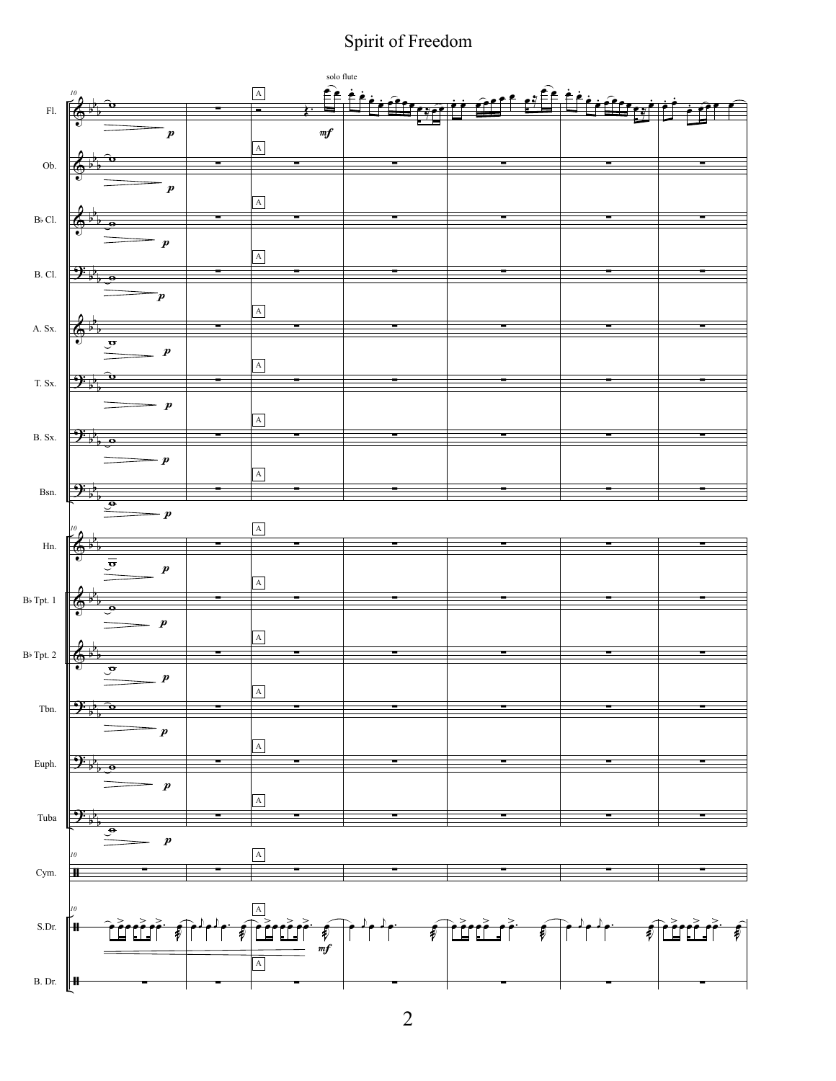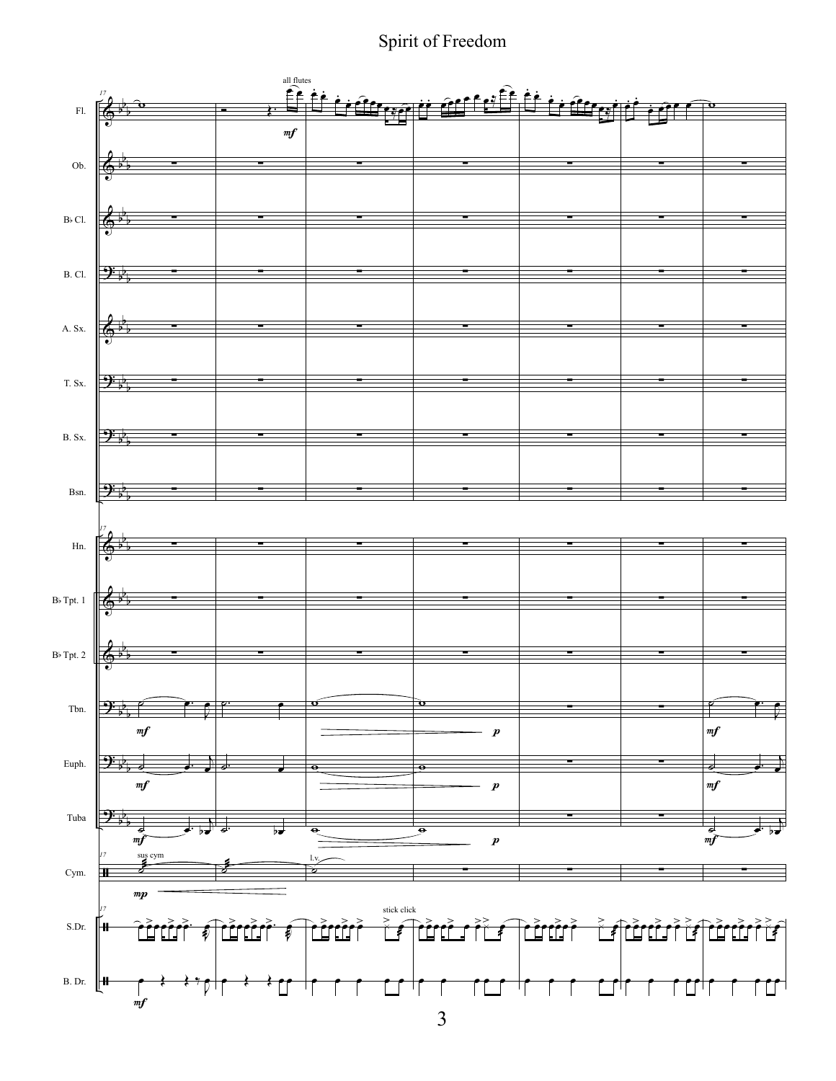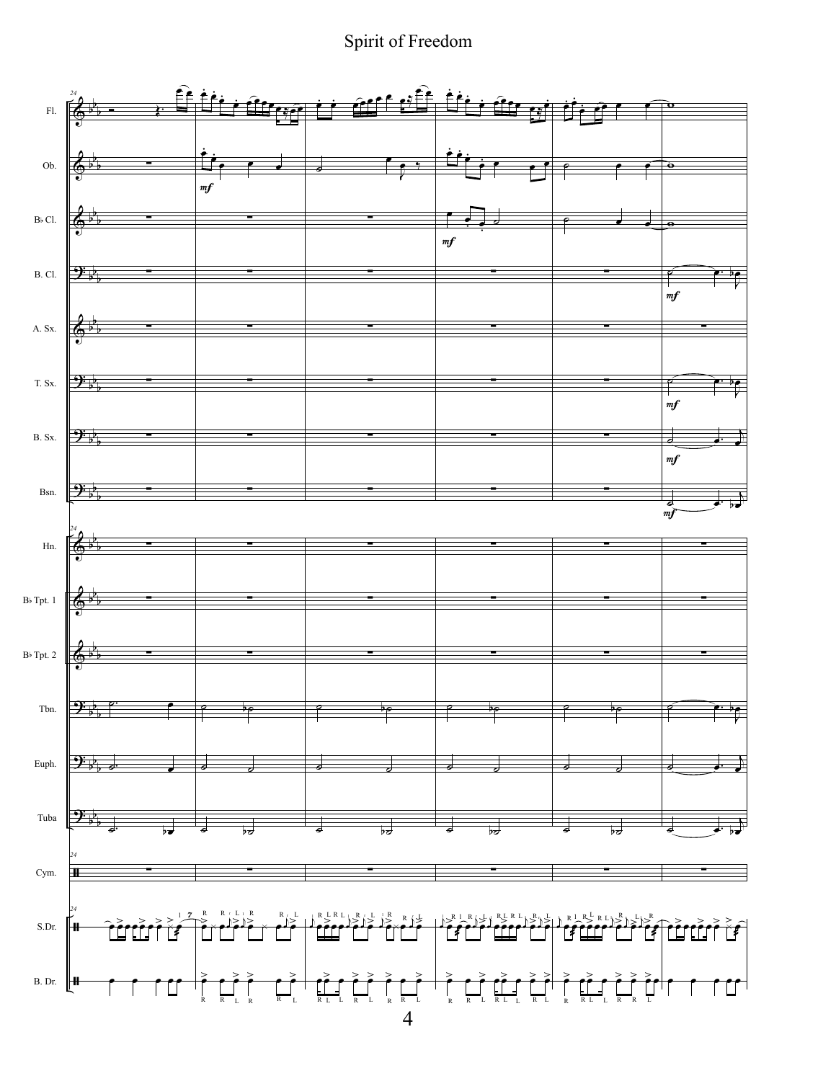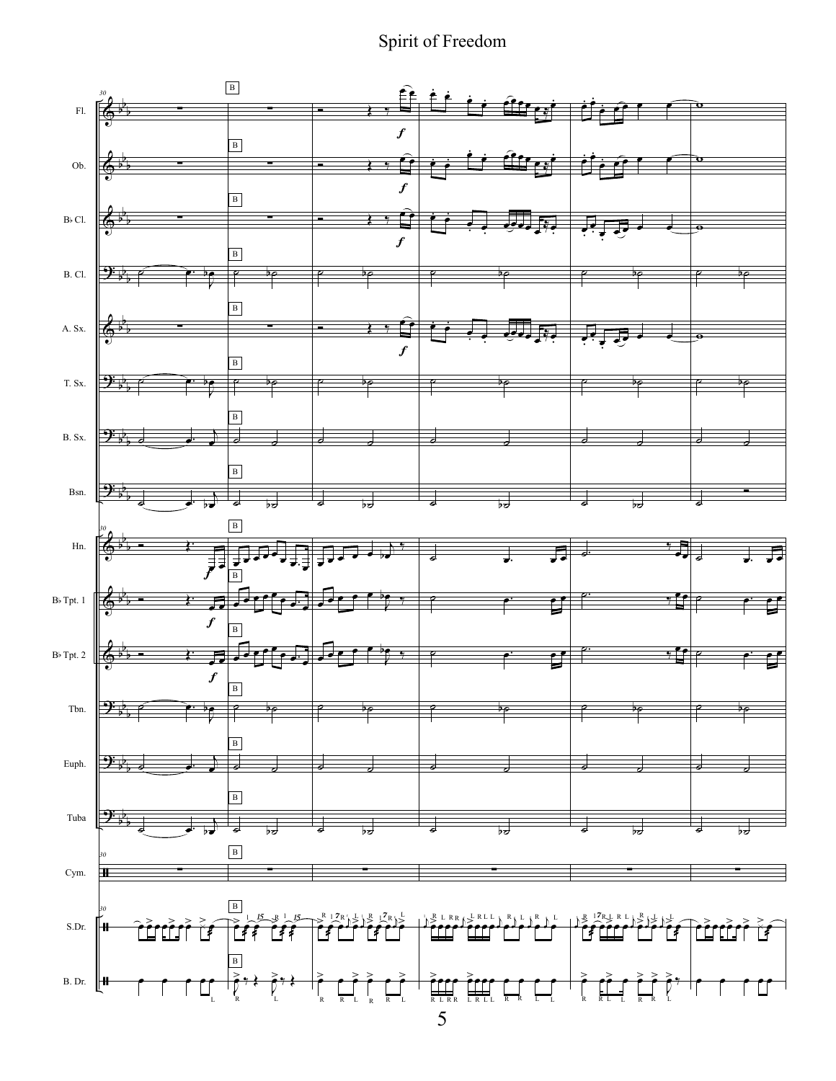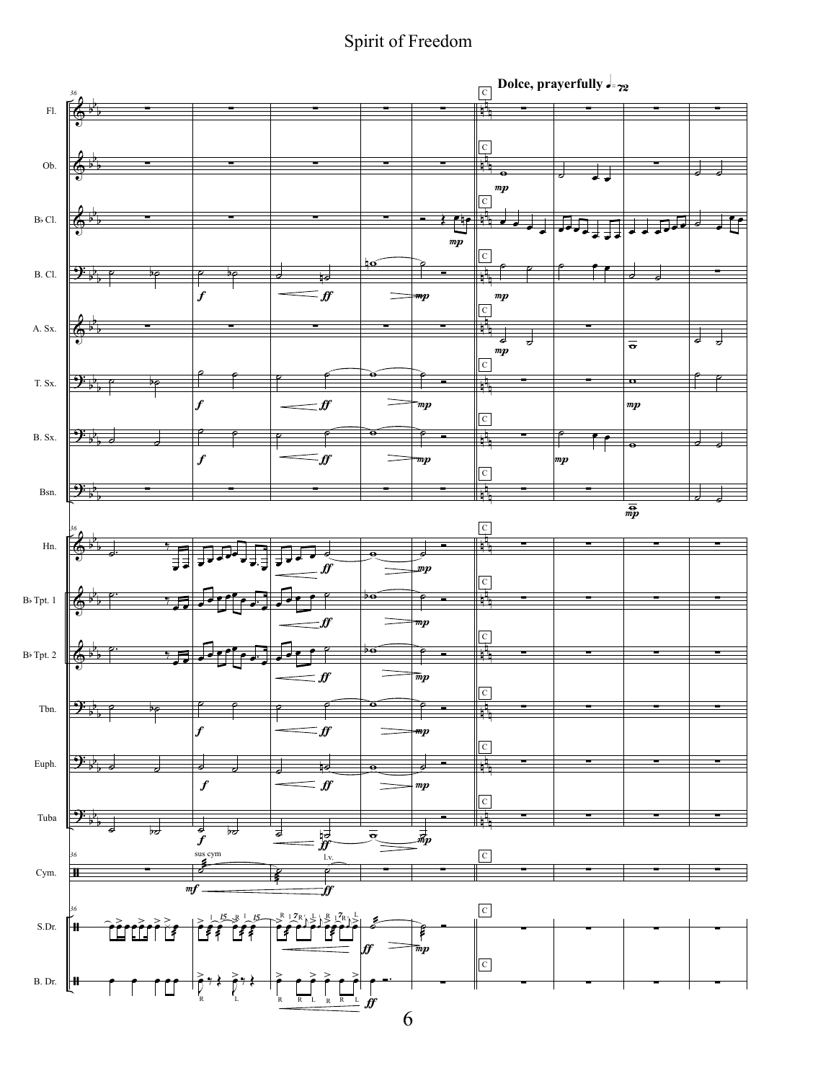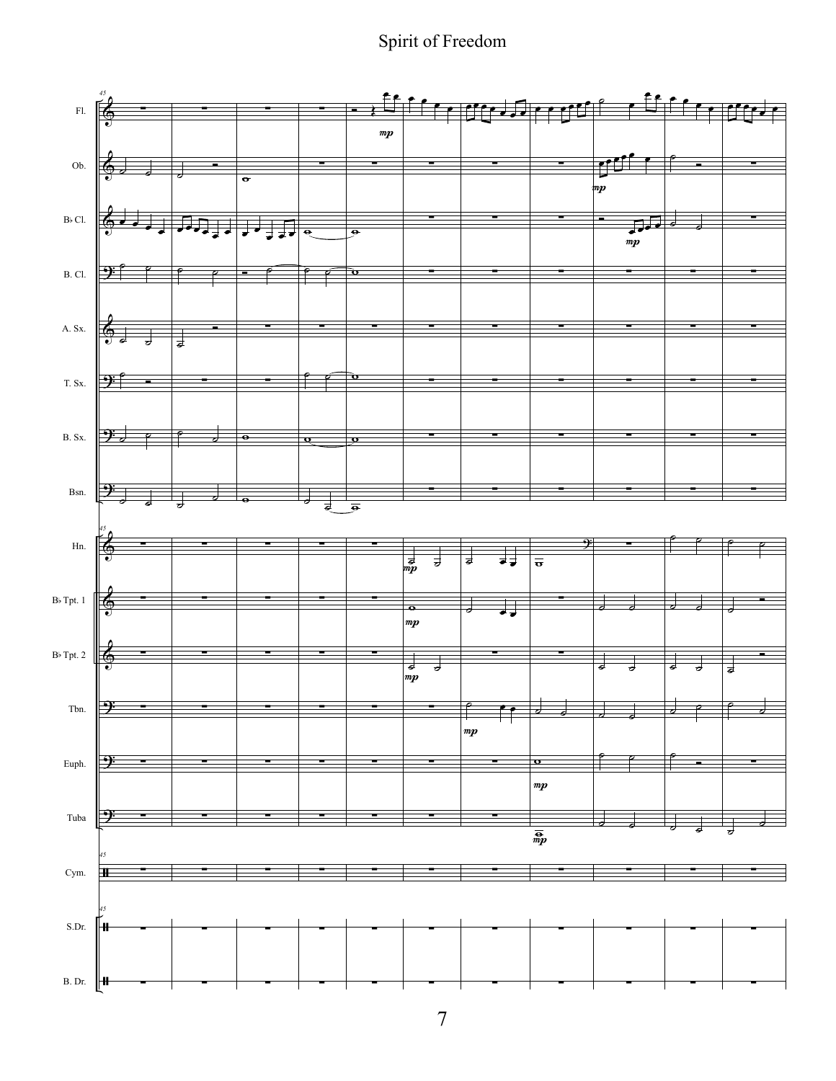Spirit of Freedom



7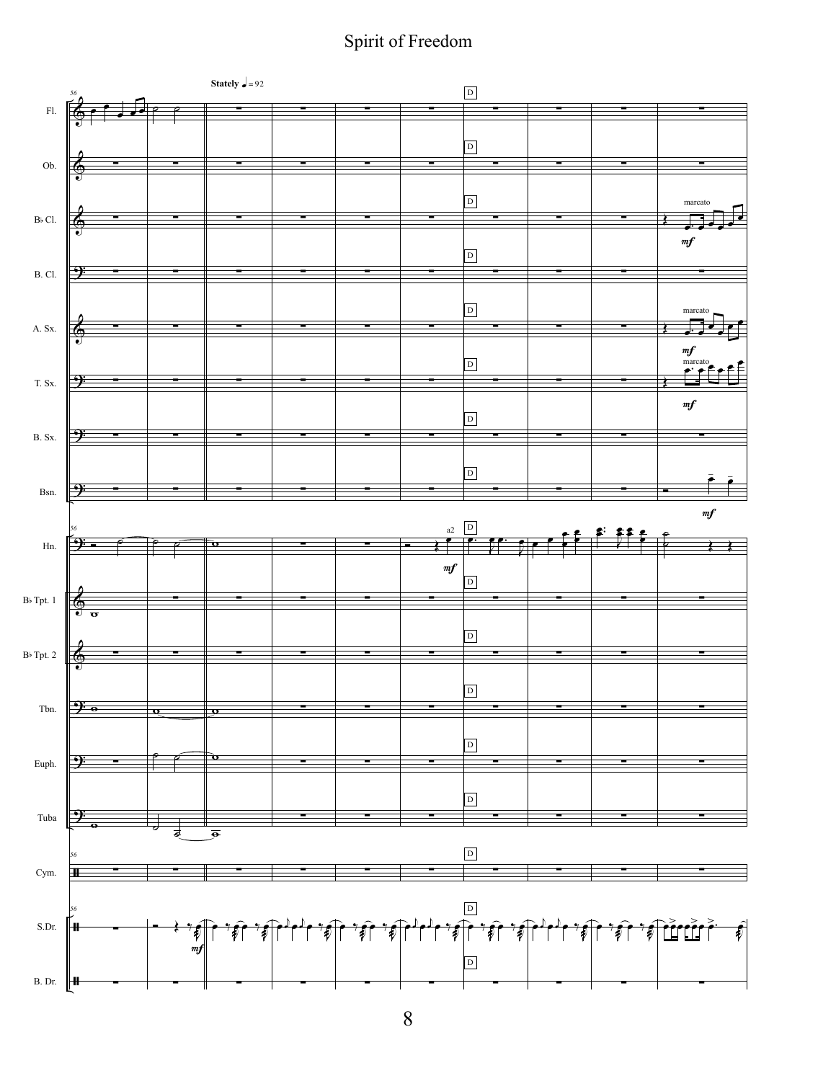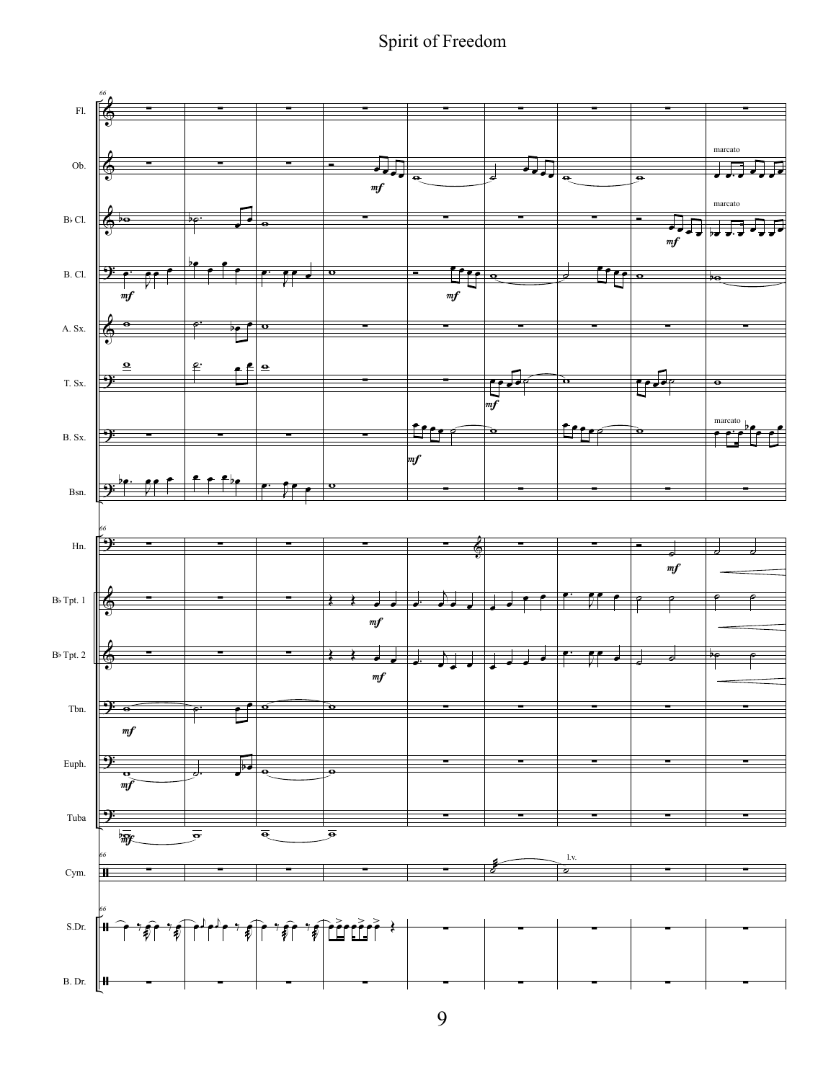![](_page_8_Figure_1.jpeg)

9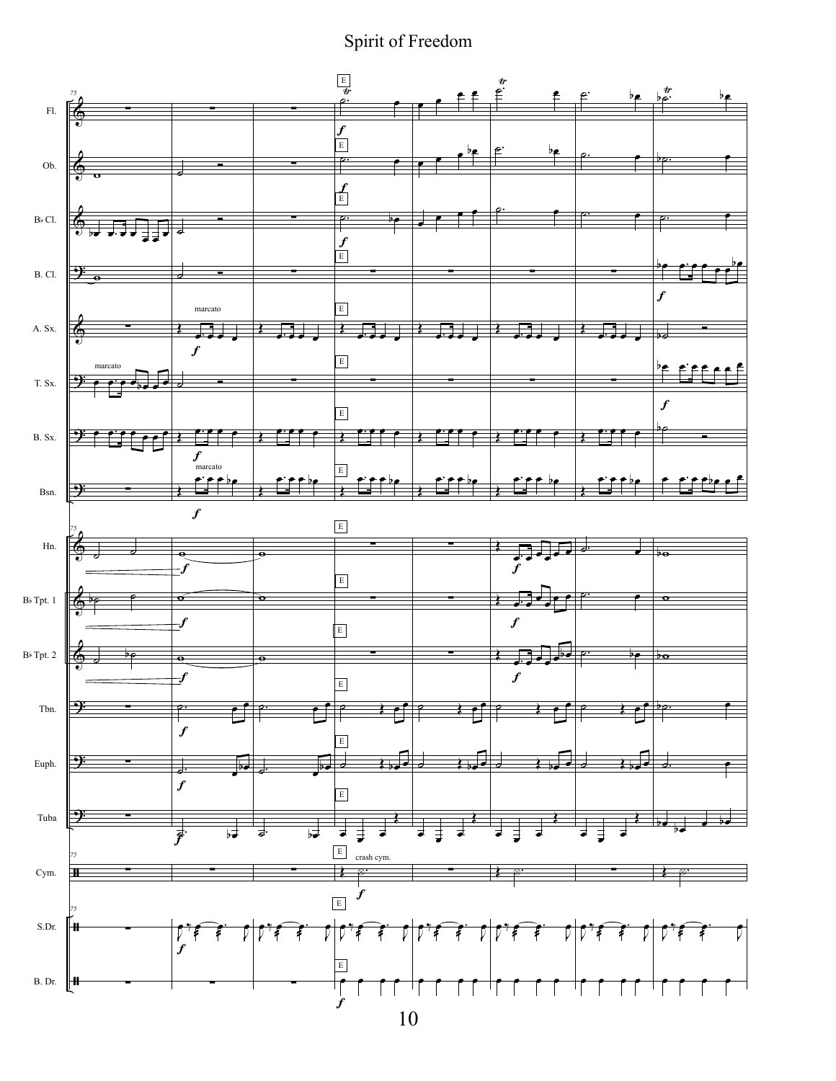![](_page_9_Figure_1.jpeg)

10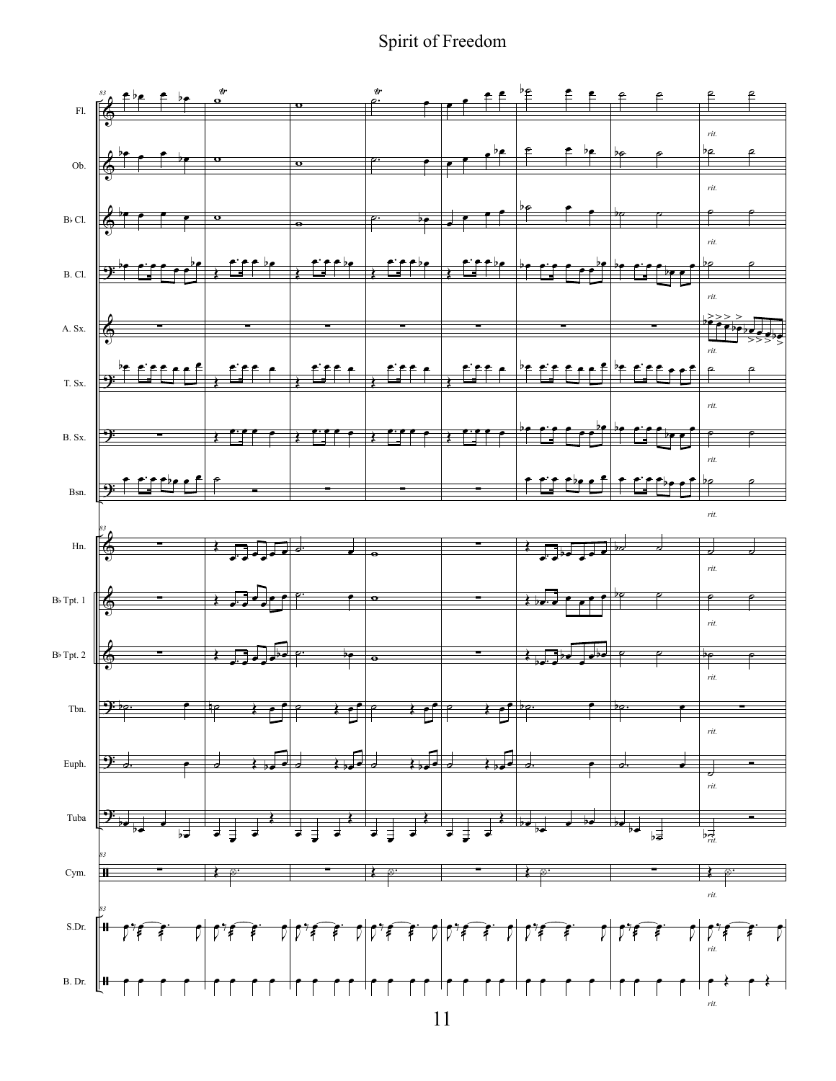![](_page_10_Figure_1.jpeg)